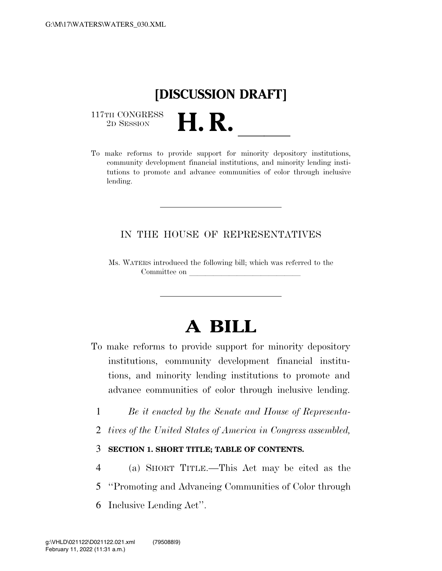## **[DISCUSSION DRAFT]**

 $\begin{array}{c} \text{117TH CONGRESS} \\ \text{2D SESION} \end{array}$ 

117TH CONGRESS<br>
2D SESSION **H. R.** <u>Indices of the minority depository</u> institutions, community development financial institutions, and minority lending institutions to promote and advance communities of color through inclusive lending.

#### IN THE HOUSE OF REPRESENTATIVES

Ms. WATERS introduced the following bill; which was referred to the Committee on

# **A BILL**

- To make reforms to provide support for minority depository institutions, community development financial institutions, and minority lending institutions to promote and advance communities of color through inclusive lending.
	- 1 *Be it enacted by the Senate and House of Representa-*
	- 2 *tives of the United States of America in Congress assembled,*

#### 3 **SECTION 1. SHORT TITLE; TABLE OF CONTENTS.**

- 4 (a) SHORT TITLE.—This Act may be cited as the
- 5 ''Promoting and Advancing Communities of Color through
- 6 Inclusive Lending Act''.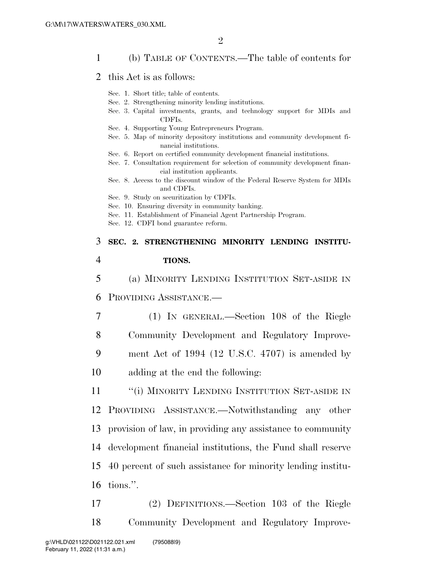#### 1 (b) TABLE OF CONTENTS.—The table of contents for

- 2 this Act is as follows:
	- Sec. 1. Short title; table of contents.
	- Sec. 2. Strengthening minority lending institutions.
	- Sec. 3. Capital investments, grants, and technology support for MDIs and CDFIs.
	- Sec. 4. Supporting Young Entrepreneurs Program.
	- Sec. 5. Map of minority depository institutions and community development financial institutions.
	- Sec. 6. Report on certified community development financial institutions.
	- Sec. 7. Consultation requirement for selection of community development financial institution applicants.
	- Sec. 8. Access to the discount window of the Federal Reserve System for MDIs and CDFIs.
	- Sec. 9. Study on securitization by CDFIs.
	- Sec. 10. Ensuring diversity in community banking.
	- Sec. 11. Establishment of Financial Agent Partnership Program.
	- Sec. 12. CDFI bond guarantee reform.

### 3 **SEC. 2. STRENGTHENING MINORITY LENDING INSTITU-**4 **TIONS.**

5 (a) MINORITY LENDING INSTITUTION SET-ASIDE IN 6 PROVIDING ASSISTANCE.—

 (1) IN GENERAL.—Section 108 of the Riegle Community Development and Regulatory Improve- ment Act of 1994 (12 U.S.C. 4707) is amended by adding at the end the following:

11 ""(i) MINORITY LENDING INSTITUTION SET-ASIDE IN PROVIDING ASSISTANCE.—Notwithstanding any other provision of law, in providing any assistance to community development financial institutions, the Fund shall reserve 40 percent of such assistance for minority lending institu-tions.''.

17 (2) DEFINITIONS.—Section 103 of the Riegle 18 Community Development and Regulatory Improve-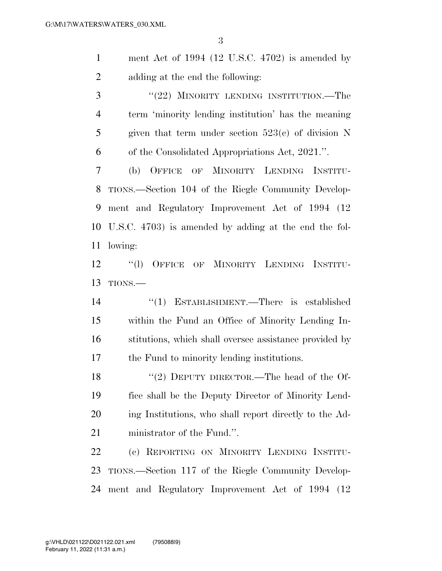ment Act of 1994 (12 U.S.C. 4702) is amended by adding at the end the following:

3 "(22) MINORITY LENDING INSTITUTION.—The term 'minority lending institution' has the meaning given that term under section 523(c) of division N of the Consolidated Appropriations Act, 2021.''.

 (b) OFFICE OF MINORITY LENDING INSTITU- TIONS.—Section 104 of the Riegle Community Develop- ment and Regulatory Improvement Act of 1994 (12 U.S.C. 4703) is amended by adding at the end the fol-lowing:

 ''(l) OFFICE OF MINORITY LENDING INSTITU-TIONS.—

 ''(1) ESTABLISHMENT.—There is established within the Fund an Office of Minority Lending In- stitutions, which shall oversee assistance provided by the Fund to minority lending institutions.

18 "(2) DEPUTY DIRECTOR.—The head of the Of- fice shall be the Deputy Director of Minority Lend- ing Institutions, who shall report directly to the Ad-ministrator of the Fund.''.

 (c) REPORTING ON MINORITY LENDING INSTITU- TIONS.—Section 117 of the Riegle Community Develop-ment and Regulatory Improvement Act of 1994 (12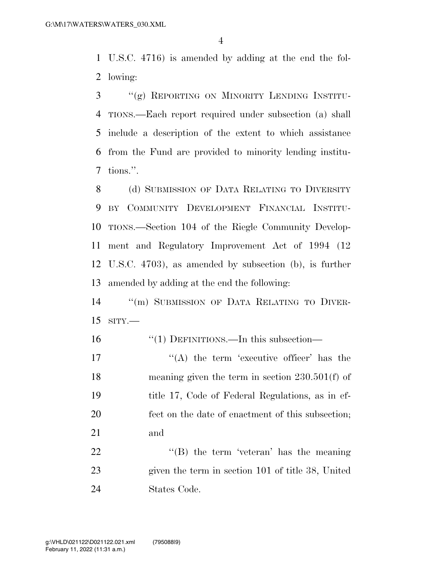U.S.C. 4716) is amended by adding at the end the fol-lowing:

 ''(g) REPORTING ON MINORITY LENDING INSTITU- TIONS.—Each report required under subsection (a) shall include a description of the extent to which assistance from the Fund are provided to minority lending institu-tions.''.

8 (d) SUBMISSION OF DATA RELATING TO DIVERSITY BY COMMUNITY DEVELOPMENT FINANCIAL INSTITU- TIONS.—Section 104 of the Riegle Community Develop- ment and Regulatory Improvement Act of 1994 (12 U.S.C. 4703), as amended by subsection (b), is further amended by adding at the end the following:

 ''(m) SUBMISSION OF DATA RELATING TO DIVER-SITY.—

- ''(1) DEFINITIONS.—In this subsection—
- 17  $((A)$  the term 'executive officer' has the meaning given the term in section 230.501(f) of title 17, Code of Federal Regulations, as in ef- fect on the date of enactment of this subsection; and

22 "'(B) the term 'veteran' has the meaning given the term in section 101 of title 38, United States Code.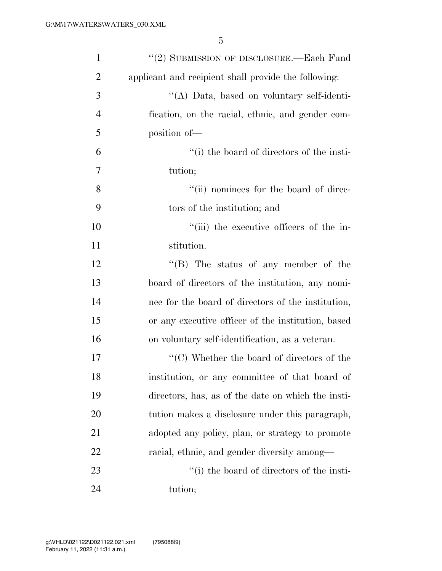| $\mathbf{1}$   | "(2) SUBMISSION OF DISCLOSURE.—Each Fund                        |
|----------------|-----------------------------------------------------------------|
| $\overline{2}$ | applicant and recipient shall provide the following:            |
| 3              | "(A) Data, based on voluntary self-identi-                      |
| $\overline{4}$ | fication, on the racial, ethnic, and gender com-                |
| 5              | position of-                                                    |
| 6              | "(i) the board of directors of the insti-                       |
| 7              | tution;                                                         |
| 8              | "(ii) nominees for the board of direc-                          |
| 9              | tors of the institution; and                                    |
| 10             | "(iii) the executive officers of the in-                        |
| 11             | stitution.                                                      |
| 12             | $\lq\lq (B)$ The status of any member of the                    |
| 13             | board of directors of the institution, any nomi-                |
| 14             | nee for the board of directors of the institution,              |
| 15             | or any executive officer of the institution, based              |
| 16             | on voluntary self-identification, as a veteran.                 |
| 17             | $\lq\lq$ <sup>"</sup> (C) Whether the board of directors of the |
| 18             | institution, or any committee of that board of                  |
| 19             | directors, has, as of the date on which the insti-              |
| 20             | tution makes a disclosure under this paragraph,                 |
| 21             | adopted any policy, plan, or strategy to promote                |
| 22             | racial, ethnic, and gender diversity among—                     |
| 23             | "(i) the board of directors of the insti-                       |
| 24             | tution;                                                         |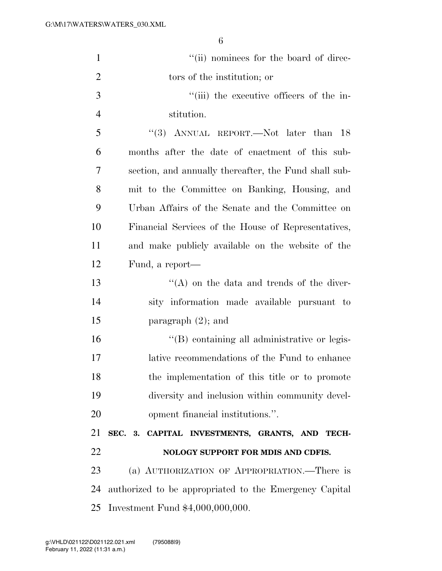| $\mathbf{1}$   | "(ii) nominees for the board of direc-                 |
|----------------|--------------------------------------------------------|
| $\overline{2}$ | tors of the institution; or                            |
| 3              | "(iii) the executive officers of the in-               |
| $\overline{4}$ | stitution.                                             |
| 5              | "(3) ANNUAL REPORT.—Not later than $18$                |
| 6              | months after the date of enactment of this sub-        |
| 7              | section, and annually thereafter, the Fund shall sub-  |
| 8              | mit to the Committee on Banking, Housing, and          |
| 9              | Urban Affairs of the Senate and the Committee on       |
| 10             | Financial Services of the House of Representatives,    |
| 11             | and make publicly available on the website of the      |
| 12             | Fund, a report—                                        |
| 13             | $\lq\lq$ on the data and trends of the diver-          |
| 14             | sity information made available pursuant to            |
| 15             | paragraph $(2)$ ; and                                  |
| 16             | "(B) containing all administrative or legis-           |
| 17             | lative recommendations of the Fund to enhance          |
| 18             | the implementation of this title or to promote         |
| 19             | diversity and inclusion within community devel-        |
| 20             | opment financial institutions.".                       |
| 21             | SEC. 3. CAPITAL INVESTMENTS, GRANTS, AND TECH-         |
| 22             | NOLOGY SUPPORT FOR MDIS AND CDFIS.                     |
| 23             | (a) AUTHORIZATION OF APPROPRIATION.—There is           |
| 24             | authorized to be appropriated to the Emergency Capital |
| 25             | Investment Fund $$4,000,000,000$ .                     |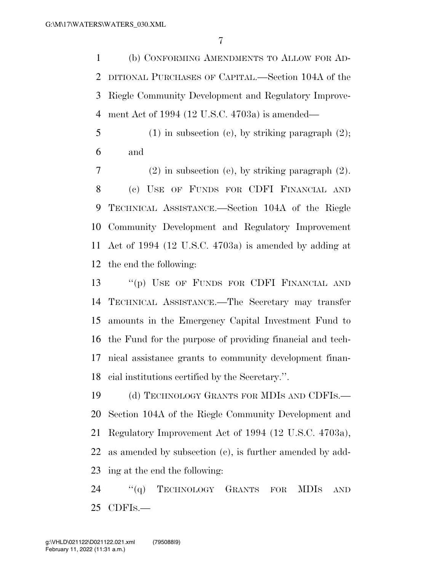(b) CONFORMING AMENDMENTS TO ALLOW FOR AD- DITIONAL PURCHASES OF CAPITAL.—Section 104A of the Riegle Community Development and Regulatory Improve-ment Act of 1994 (12 U.S.C. 4703a) is amended—

5 (1) in subsection (c), by striking paragraph  $(2)$ ; and

 (2) in subsection (e), by striking paragraph (2). (c) USE OF FUNDS FOR CDFI FINANCIAL AND TECHNICAL ASSISTANCE.—Section 104A of the Riegle Community Development and Regulatory Improvement Act of 1994 (12 U.S.C. 4703a) is amended by adding at the end the following:

 ''(p) USE OF FUNDS FOR CDFI FINANCIAL AND TECHNICAL ASSISTANCE.—The Secretary may transfer amounts in the Emergency Capital Investment Fund to the Fund for the purpose of providing financial and tech- nical assistance grants to community development finan-cial institutions certified by the Secretary.''.

19 (d) TECHNOLOGY GRANTS FOR MDIS AND CDFIS.— Section 104A of the Riegle Community Development and Regulatory Improvement Act of 1994 (12 U.S.C. 4703a), as amended by subsection (c), is further amended by add-ing at the end the following:

24 "(q) TECHNOLOGY GRANTS FOR MDIS AND CDFIS.—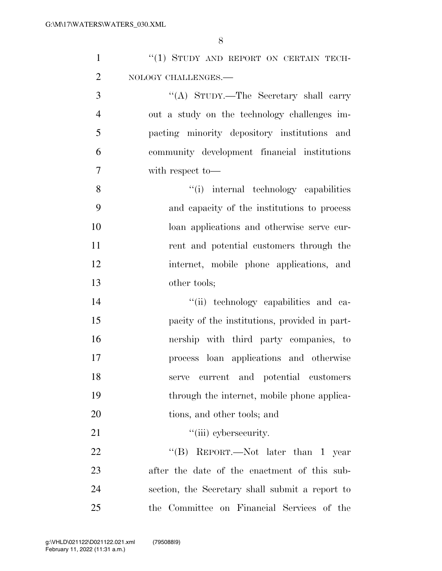| $\mathbf{1}$   | "(1) STUDY AND REPORT ON CERTAIN TECH-          |
|----------------|-------------------------------------------------|
| $\overline{2}$ | NOLOGY CHALLENGES.-                             |
| 3              | "(A) STUDY.—The Secretary shall carry           |
| $\overline{4}$ | out a study on the technology challenges im-    |
| 5              | pacting minority depository institutions and    |
| 6              | community development financial institutions    |
| $\overline{7}$ | with respect to-                                |
| 8              | "(i) internal technology capabilities           |
| 9              | and capacity of the institutions to process     |
| 10             | loan applications and otherwise serve cur-      |
| 11             | rent and potential customers through the        |
| 12             | internet, mobile phone applications, and        |
| 13             | other tools;                                    |
| 14             | "(ii) technology capabilities and ca-           |
| 15             | pacity of the institutions, provided in part-   |
| 16             | nership with third party companies, to          |
| 17             | process loan applications and otherwise         |
| 18             | serve current and potential customers           |
| 19             | through the internet, mobile phone applica-     |
| 20             | tions, and other tools; and                     |
| 21             | "(iii) cybersecurity.                           |
| 22             | "(B) REPORT.—Not later than 1 year              |
| 23             | after the date of the enactment of this sub-    |
| 24             | section, the Secretary shall submit a report to |
| 25             | the Committee on Financial Services of the      |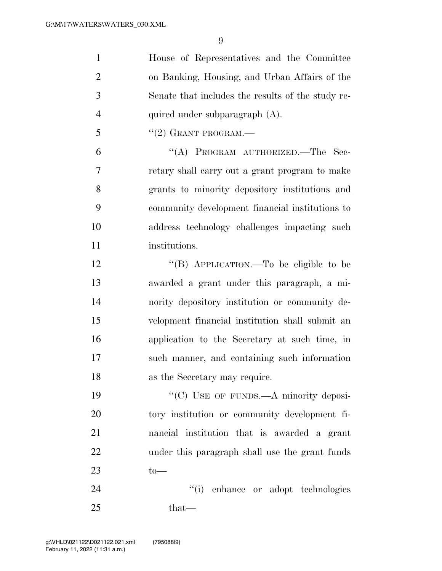| $\mathbf{1}$   | House of Representatives and the Committee        |
|----------------|---------------------------------------------------|
| $\overline{2}$ | on Banking, Housing, and Urban Affairs of the     |
| 3              | Senate that includes the results of the study re- |
| $\overline{4}$ | quired under subparagraph (A).                    |
| 5              | $``(2)$ GRANT PROGRAM.—                           |
| 6              | "(A) PROGRAM AUTHORIZED.—The Sec-                 |
| 7              | retary shall carry out a grant program to make    |
| 8              | grants to minority depository institutions and    |
| 9              | community development financial institutions to   |
| 10             | address technology challenges impacting such      |
| 11             | institutions.                                     |
| 12             | "(B) APPLICATION.—To be eligible to be            |
| 13             | awarded a grant under this paragraph, a mi-       |
| 14             | nority depository institution or community de-    |
| 15             | velopment financial institution shall submit an   |
| 16             | application to the Secretary at such time, in     |
| 17             | such manner, and containing such information      |
| 18             | as the Secretary may require.                     |
| 19             | "(C) USE OF FUNDS.—A minority deposi-             |
| 20             | tory institution or community development fi-     |
| 21             | nancial institution that is awarded a grant       |
| 22             | under this paragraph shall use the grant funds    |
| 23             | $to-$                                             |
| 24             | "(i) enhance or adopt technologies                |
| 25             | that—                                             |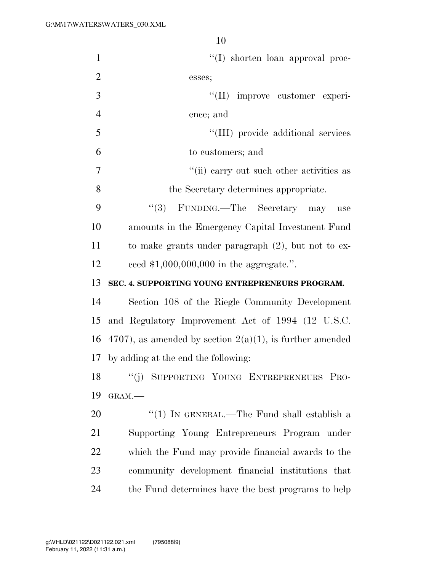| $\mathbf{1}$   | $\lq\lq$ shorten loan approval proc-                        |
|----------------|-------------------------------------------------------------|
| $\overline{2}$ | esses;                                                      |
| 3              | "(II) improve customer experi-                              |
| $\overline{4}$ | ence; and                                                   |
| 5              | "(III) provide additional services                          |
| 6              | to customers; and                                           |
| 7              | "(ii) carry out such other activities as                    |
| 8              | the Secretary determines appropriate.                       |
| 9              | "(3) FUNDING.—The Secretary may<br>use                      |
| 10             | amounts in the Emergency Capital Investment Fund            |
| 11             | to make grants under paragraph $(2)$ , but not to ex-       |
| 12             | ceed $$1,000,000,000$ in the aggregate.".                   |
|                |                                                             |
| 13             | SEC. 4. SUPPORTING YOUNG ENTREPRENEURS PROGRAM.             |
| 14             | Section 108 of the Riegle Community Development             |
| 15             | and Regulatory Improvement Act of 1994 (12 U.S.C.           |
| 16             | 4707), as amended by section $2(a)(1)$ , is further amended |
| 17             | by adding at the end the following:                         |
| 18             | "(j) SUPPORTING YOUNG ENTREPRENEURS PRO-                    |
| 19             | GRAM.-                                                      |
| 20             | "(1) IN GENERAL.—The Fund shall establish a                 |
| 21             | Supporting Young Entrepreneurs Program under                |
| 22             | which the Fund may provide financial awards to the          |
| 23             | community development financial institutions that           |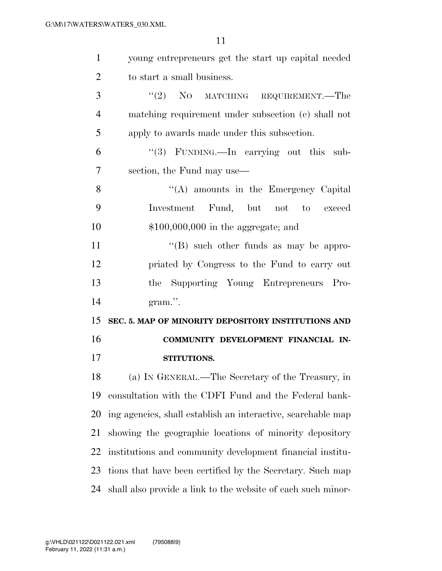| $\mathbf{1}$   | young entrepreneurs get the start up capital needed          |
|----------------|--------------------------------------------------------------|
| $\overline{2}$ | to start a small business.                                   |
| 3              | "(2) NO MATCHING REQUIREMENT.—The                            |
| $\overline{4}$ | matching requirement under subsection (e) shall not          |
| 5              | apply to awards made under this subsection.                  |
| 6              | " $(3)$ FUNDING.—In carrying out this sub-                   |
| 7              | section, the Fund may use—                                   |
| 8              | "(A) amounts in the Emergency Capital                        |
| 9              | Investment Fund, but not to exceed                           |
| 10             | $$100,000,000$ in the aggregate; and                         |
| 11             | $\lq\lq (B)$ such other funds as may be appro-               |
| 12             | priated by Congress to the Fund to carry out                 |
|                | the Supporting Young Entrepreneurs Pro-                      |
| 13             |                                                              |
|                | gram.".                                                      |
| 14<br>15       | SEC. 5. MAP OF MINORITY DEPOSITORY INSTITUTIONS AND          |
| 16             | COMMUNITY DEVELOPMENT FINANCIAL IN-                          |
| 17             | STITUTIONS.                                                  |
| 18             | (a) IN GENERAL.—The Secretary of the Treasury, in            |
| 19             | consultation with the CDFI Fund and the Federal bank-        |
| 20             | ing agencies, shall establish an interactive, searchable map |
| 21             | showing the geographic locations of minority depository      |
| 22             | institutions and community development financial institu-    |
| 23             | tions that have been certified by the Secretary. Such map    |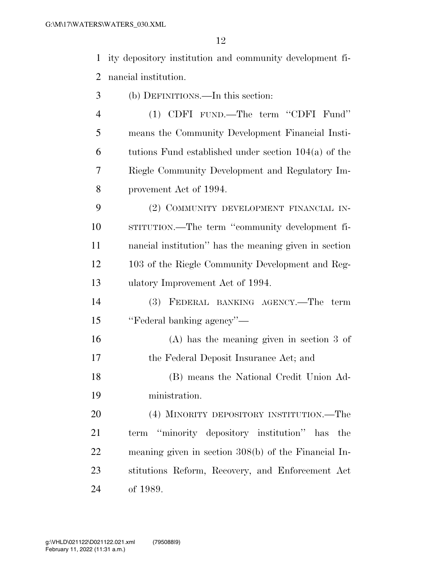ity depository institution and community development fi-nancial institution.

- (b) DEFINITIONS.—In this section:
- (1) CDFI FUND.—The term ''CDFI Fund'' means the Community Development Financial Insti- tutions Fund established under section 104(a) of the Riegle Community Development and Regulatory Im-provement Act of 1994.

 (2) COMMUNITY DEVELOPMENT FINANCIAL IN- STITUTION.—The term ''community development fi- nancial institution'' has the meaning given in section 103 of the Riegle Community Development and Reg-ulatory Improvement Act of 1994.

- (3) FEDERAL BANKING AGENCY.—The term ''Federal banking agency''—
- (A) has the meaning given in section 3 of the Federal Deposit Insurance Act; and

 (B) means the National Credit Union Ad-ministration.

 (4) MINORITY DEPOSITORY INSTITUTION.—The term ''minority depository institution'' has the meaning given in section 308(b) of the Financial In- stitutions Reform, Recovery, and Enforcement Act of 1989.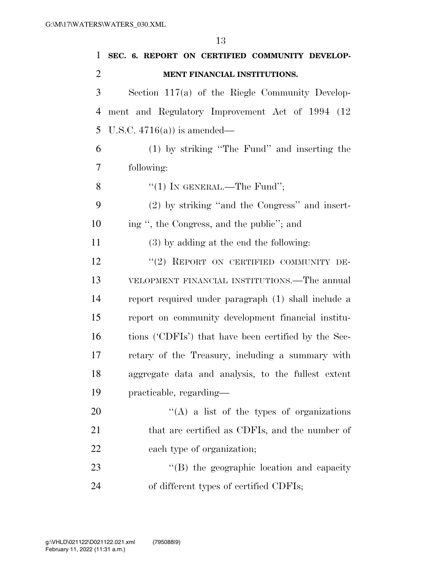| $\mathbf{1}$   | SEC. 6. REPORT ON CERTIFIED COMMUNITY DEVELOP-       |
|----------------|------------------------------------------------------|
| $\overline{2}$ | MENT FINANCIAL INSTITUTIONS.                         |
| 3              | Section $117(a)$ of the Riegle Community Develop-    |
| $\overline{4}$ | ment and Regulatory Improvement Act of 1994 (12)     |
| 5              | U.S.C. $4716(a)$ is amended—                         |
| 6              | (1) by striking "The Fund" and inserting the         |
| 7              | following:                                           |
| 8              | "(1) IN GENERAL.—The Fund";                          |
| 9              | (2) by striking "and the Congress" and insert-       |
| 10             | ing ", the Congress, and the public"; and            |
| 11             | $(3)$ by adding at the end the following:            |
| 12             | "(2) REPORT ON CERTIFIED COMMUNITY DE-               |
| 13             | VELOPMENT FINANCIAL INSTITUTIONS.—The annual         |
| 14             | report required under paragraph (1) shall include a  |
| 15             | report on community development financial institu-   |
| 16             | tions ('CDFIs') that have been certified by the Sec- |
| 17             | retary of the Treasury, including a summary with     |
| 18             | aggregate data and analysis, to the fullest extent   |
| 19             | practicable, regarding—                              |
| 20             | "(A) a list of the types of organizations            |
| 21             | that are certified as CDFIs, and the number of       |
| 22             | each type of organization;                           |

23 ''(B) the geographic location and capacity of different types of certified CDFIs;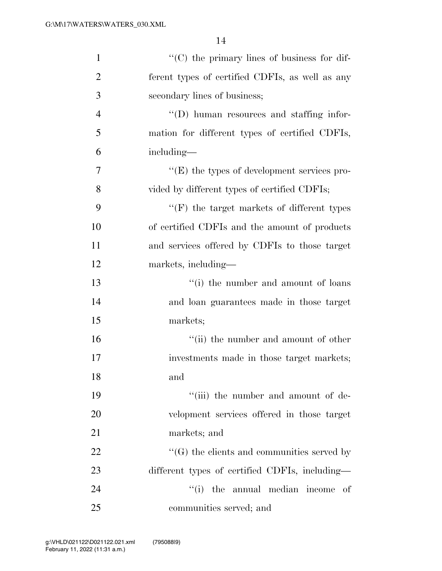| $\mathbf{1}$   | "(C) the primary lines of business for dif-        |
|----------------|----------------------------------------------------|
| $\overline{2}$ | ferent types of certified CDFIs, as well as any    |
| 3              | secondary lines of business;                       |
| $\overline{4}$ | "(D) human resources and staffing infor-           |
| 5              | mation for different types of certified CDFIs,     |
| 6              | including—                                         |
| $\overline{7}$ | $\lq\lq(E)$ the types of development services pro- |
| 8              | vided by different types of certified CDFIs;       |
| 9              | $\lq\lq(F)$ the target markets of different types  |
| 10             | of certified CDFIs and the amount of products      |
| 11             | and services offered by CDFIs to those target      |
| 12             | markets, including-                                |
| 13             | "(i) the number and amount of loans                |
| 14             | and loan guarantees made in those target           |
| 15             | markets;                                           |
| 16             | "(ii) the number and amount of other               |
| 17             | investments made in those target markets;          |
| 18             | and                                                |
| 19             | "(iii) the number and amount of de-                |
| <b>20</b>      | velopment services offered in those target         |
| 21             | markets; and                                       |
| 22             | $\lq\lq(G)$ the clients and communities served by  |
| 23             | different types of certified CDFIs, including—     |
| 24             | "(i) the annual median income<br>- of              |
| 25             | communities served; and                            |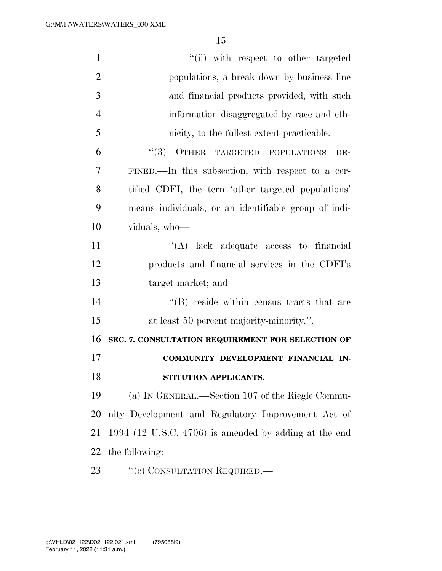| $\mathbf{1}$   | "(ii) with respect to other targeted                    |
|----------------|---------------------------------------------------------|
| $\overline{2}$ | populations, a break down by business line              |
| 3              | and financial products provided, with such              |
| $\overline{4}$ | information disaggregated by race and eth-              |
| 5              | nicity, to the fullest extent practicable.              |
| 6              | (3)<br>OTHER TARGETED POPULATIONS<br>DE-                |
| 7              | FINED.—In this subsection, with respect to a cer-       |
| 8              | tified CDFI, the tern 'other targeted populations'      |
| 9              | means individuals, or an identifiable group of indi-    |
| 10             | viduals, who-                                           |
| 11             | "(A) lack adequate access to financial                  |
| 12             | products and financial services in the CDFI's           |
| 13             | target market; and                                      |
| 14             | $\lq\lq$ reside within census tracts that are           |
| 15             | at least 50 percent majority-minority.".                |
| 16             | SEC. 7. CONSULTATION REQUIREMENT FOR SELECTION OF       |
| 17             | COMMUNITY DEVELOPMENT FINANCIAL IN-                     |
| 18             | STITUTION APPLICANTS.                                   |
| 19             | (a) IN GENERAL.—Section 107 of the Riegle Commu-        |
| 20             | nity Development and Regulatory Improvement Act of      |
| 21             | $1994$ (12 U.S.C. 4706) is amended by adding at the end |
| 22             | the following:                                          |
|                |                                                         |

23 "(e) CONSULTATION REQUIRED.—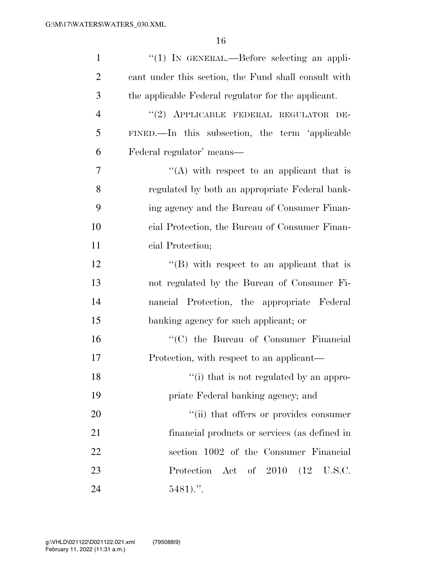| $\mathbf{1}$   | $\lq(1)$ In GENERAL.—Before selecting an appli-      |
|----------------|------------------------------------------------------|
| $\overline{2}$ | cant under this section, the Fund shall consult with |
| 3              | the applicable Federal regulator for the applicant.  |
| $\overline{4}$ | "(2) APPLICABLE FEDERAL REGULATOR DE-                |
| 5              | FINED.—In this subsection, the term 'applicable      |
| 6              | Federal regulator' means—                            |
| 7              | "(A) with respect to an applicant that is            |
| 8              | regulated by both an appropriate Federal bank-       |
| 9              | ing agency and the Bureau of Consumer Finan-         |
| 10             | cial Protection, the Bureau of Consumer Finan-       |
| 11             | cial Protection;                                     |
| 12             | $\lq\lq$ with respect to an applicant that is        |
| 13             | not regulated by the Bureau of Consumer Fi-          |
| 14             | nancial Protection, the appropriate Federal          |
| 15             | banking agency for such applicant; or                |
| 16             | "(C) the Bureau of Consumer Financial                |
| 17             | Protection, with respect to an applicant—            |
| 18             | "(i) that is not regulated by an appro-              |
| 19             | priate Federal banking agency; and                   |
| 20             | "(ii) that offers or provides consumer               |
| 21             | financial products or services (as defined in        |
| 22             | section 1002 of the Consumer Financial               |
| 23             | Protection Act of 2010 (12 U.S.C.                    |
| 24             | $5481$                                               |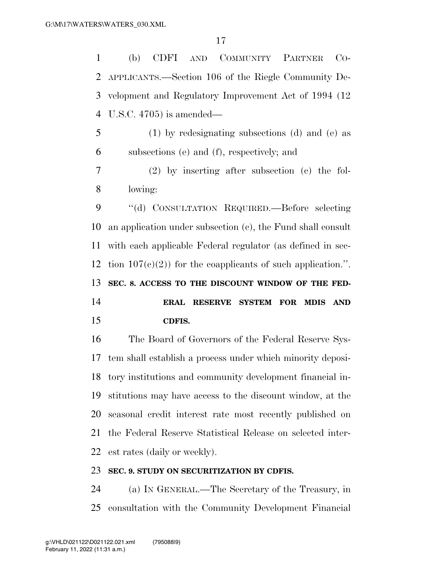(b) CDFI AND COMMUNITY PARTNER CO- APPLICANTS.—Section 106 of the Riegle Community De- velopment and Regulatory Improvement Act of 1994 (12 U.S.C. 4705) is amended—

 (1) by redesignating subsections (d) and (e) as subsections (e) and (f), respectively; and

 (2) by inserting after subsection (c) the fol-lowing:

 ''(d) CONSULTATION REQUIRED.—Before selecting an application under subsection (c), the Fund shall consult with each applicable Federal regulator (as defined in sec-12 tion  $107(e)(2)$  for the coapplicants of such application.". **SEC. 8. ACCESS TO THE DISCOUNT WINDOW OF THE FED- ERAL RESERVE SYSTEM FOR MDIS AND CDFIS.** 

 The Board of Governors of the Federal Reserve Sys- tem shall establish a process under which minority deposi- tory institutions and community development financial in- stitutions may have access to the discount window, at the seasonal credit interest rate most recently published on the Federal Reserve Statistical Release on selected inter-est rates (daily or weekly).

#### **SEC. 9. STUDY ON SECURITIZATION BY CDFIS.**

 (a) IN GENERAL.—The Secretary of the Treasury, in consultation with the Community Development Financial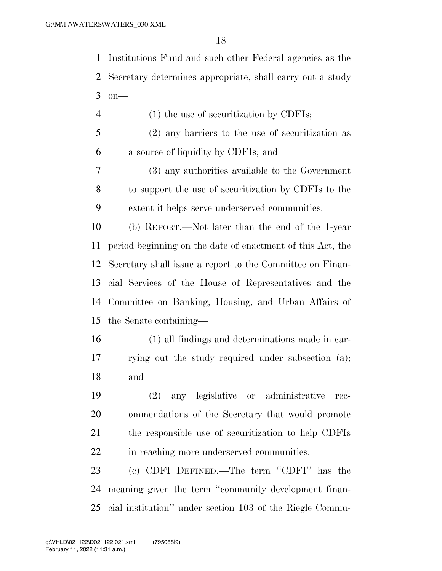Institutions Fund and such other Federal agencies as the Secretary determines appropriate, shall carry out a study on—

 (1) the use of securitization by CDFIs; (2) any barriers to the use of securitization as a source of liquidity by CDFIs; and

 (3) any authorities available to the Government to support the use of securitization by CDFIs to the extent it helps serve underserved communities.

 (b) REPORT.—Not later than the end of the 1-year period beginning on the date of enactment of this Act, the Secretary shall issue a report to the Committee on Finan- cial Services of the House of Representatives and the Committee on Banking, Housing, and Urban Affairs of the Senate containing—

 (1) all findings and determinations made in car- rying out the study required under subsection (a); and

 (2) any legislative or administrative rec- ommendations of the Secretary that would promote the responsible use of securitization to help CDFIs 22 in reaching more underserved communities.

 (c) CDFI DEFINED.—The term ''CDFI'' has the meaning given the term ''community development finan-cial institution'' under section 103 of the Riegle Commu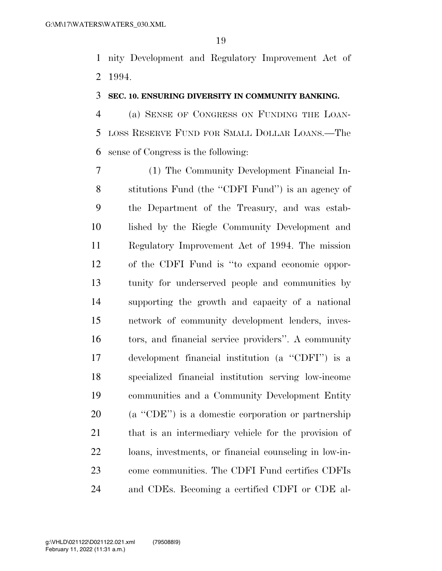nity Development and Regulatory Improvement Act of 1994.

#### **SEC. 10. ENSURING DIVERSITY IN COMMUNITY BANKING.**

 (a) SENSE OF CONGRESS ON FUNDING THE LOAN- LOSS RESERVE FUND FOR SMALL DOLLAR LOANS.—The sense of Congress is the following:

 (1) The Community Development Financial In- stitutions Fund (the ''CDFI Fund'') is an agency of the Department of the Treasury, and was estab- lished by the Riegle Community Development and Regulatory Improvement Act of 1994. The mission of the CDFI Fund is ''to expand economic oppor- tunity for underserved people and communities by supporting the growth and capacity of a national network of community development lenders, inves- tors, and financial service providers''. A community development financial institution (a ''CDFI'') is a specialized financial institution serving low-income communities and a Community Development Entity (a ''CDE'') is a domestic corporation or partnership that is an intermediary vehicle for the provision of loans, investments, or financial counseling in low-in- come communities. The CDFI Fund certifies CDFIs and CDEs. Becoming a certified CDFI or CDE al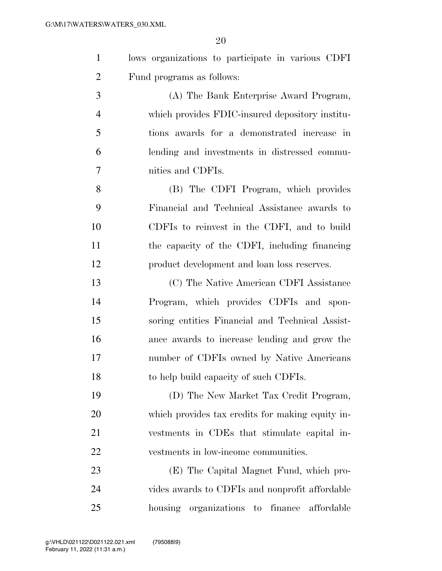$\Omega$ 

|                | ZU                                                |
|----------------|---------------------------------------------------|
| $\mathbf{1}$   | lows organizations to participate in various CDFI |
| $\overline{2}$ | Fund programs as follows:                         |
| 3              | (A) The Bank Enterprise Award Program,            |
| $\overline{4}$ | which provides FDIC-insured depository institu-   |
| 5              | tions awards for a demonstrated increase in       |
| 6              | lending and investments in distressed commu-      |
| $\overline{7}$ | nities and CDFIs.                                 |
| 8              | (B) The CDFI Program, which provides              |
| 9              | Financial and Technical Assistance awards to      |
| 10             | CDFIs to reinvest in the CDFI, and to build       |
| 11             | the capacity of the CDFI, including financing     |
| 12             | product development and loan loss reserves.       |
| 13             | (C) The Native American CDFI Assistance           |
| 14             | Program, which provides CDFIs and spon-           |
| 15             | soring entities Financial and Technical Assist-   |
| 16             | ance awards to increase lending and grow the      |

 number of CDFIs owned by Native Americans to help build capacity of such CDFIs.

 (D) The New Market Tax Credit Program, which provides tax credits for making equity in- vestments in CDEs that stimulate capital in-vestments in low-income communities.

 (E) The Capital Magnet Fund, which pro- vides awards to CDFIs and nonprofit affordable housing organizations to finance affordable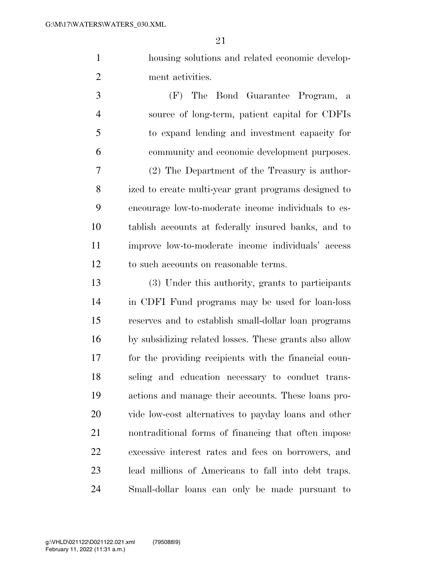housing solutions and related economic develop-ment activities.

 (F) The Bond Guarantee Program, a source of long-term, patient capital for CDFIs to expand lending and investment capacity for community and economic development purposes. (2) The Department of the Treasury is author- ized to create multi-year grant programs designed to encourage low-to-moderate income individuals to es- tablish accounts at federally insured banks, and to improve low-to-moderate income individuals' access to such accounts on reasonable terms.

 (3) Under this authority, grants to participants in CDFI Fund programs may be used for loan-loss reserves and to establish small-dollar loan programs by subsidizing related losses. These grants also allow for the providing recipients with the financial coun- seling and education necessary to conduct trans- actions and manage their accounts. These loans pro- vide low-cost alternatives to payday loans and other nontraditional forms of financing that often impose excessive interest rates and fees on borrowers, and lead millions of Americans to fall into debt traps. Small-dollar loans can only be made pursuant to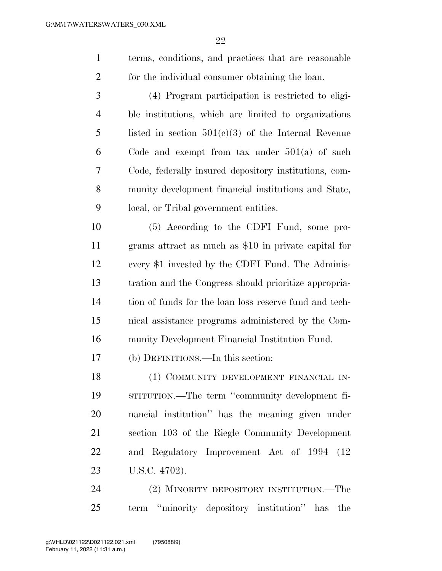terms, conditions, and practices that are reasonable for the individual consumer obtaining the loan.

 (4) Program participation is restricted to eligi- ble institutions, which are limited to organizations listed in section 501(c)(3) of the Internal Revenue Code and exempt from tax under 501(a) of such Code, federally insured depository institutions, com- munity development financial institutions and State, local, or Tribal government entities.

 (5) According to the CDFI Fund, some pro- grams attract as much as \$10 in private capital for every \$1 invested by the CDFI Fund. The Adminis- tration and the Congress should prioritize appropria- tion of funds for the loan loss reserve fund and tech- nical assistance programs administered by the Com-munity Development Financial Institution Fund.

(b) DEFINITIONS.—In this section:

 (1) COMMUNITY DEVELOPMENT FINANCIAL IN- STITUTION.—The term ''community development fi- nancial institution'' has the meaning given under section 103 of the Riegle Community Development and Regulatory Improvement Act of 1994 (12 U.S.C. 4702).

 (2) MINORITY DEPOSITORY INSTITUTION.—The term ''minority depository institution'' has the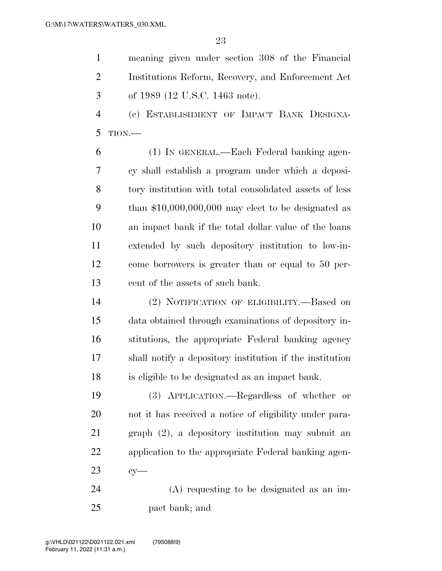meaning given under section 308 of the Financial Institutions Reform, Recovery, and Enforcement Act of 1989 (12 U.S.C. 1463 note).

 (c) ESTABLISHMENT OF IMPACT BANK DESIGNA-TION.—

 (1) IN GENERAL.—Each Federal banking agen- cy shall establish a program under which a deposi- tory institution with total consolidated assets of less than \$10,000,000,000 may elect to be designated as an impact bank if the total dollar value of the loans extended by such depository institution to low-in- come borrowers is greater than or equal to 50 per-cent of the assets of such bank.

 (2) NOTIFICATION OF ELIGIBILITY.—Based on data obtained through examinations of depository in- stitutions, the appropriate Federal banking agency shall notify a depository institution if the institution is eligible to be designated as an impact bank.

 (3) APPLICATION.—Regardless of whether or not it has received a notice of eligibility under para- graph (2), a depository institution may submit an application to the appropriate Federal banking agen-cy—

 (A) requesting to be designated as an im-pact bank; and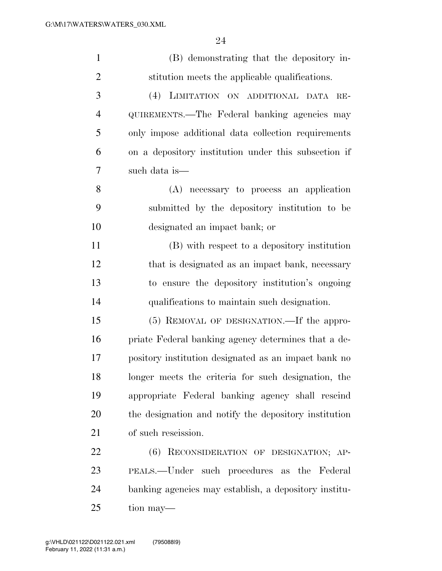| $\mathbf{1}$   | (B) demonstrating that the depository in-             |
|----------------|-------------------------------------------------------|
| $\overline{2}$ | stitution meets the applicable qualifications.        |
| 3              | (4) LIMITATION ON ADDITIONAL DATA RE-                 |
| $\overline{4}$ | QUIREMENTS.—The Federal banking agencies may          |
| 5              | only impose additional data collection requirements   |
| 6              | on a depository institution under this subsection if  |
| 7              | such data is—                                         |
| 8              | (A) necessary to process an application               |
| 9              | submitted by the depository institution to be         |
| 10             | designated an impact bank; or                         |
| 11             | (B) with respect to a depository institution          |
| 12             | that is designated as an impact bank, necessary       |
| 13             | to ensure the depository institution's ongoing        |
| 14             | qualifications to maintain such designation.          |
| 15             | (5) REMOVAL OF DESIGNATION.—If the appro-             |
| 16             | priate Federal banking agency determines that a de-   |
| 17             | pository institution designated as an impact bank no  |
| 18             | longer meets the criteria for such designation, the   |
| 19             | appropriate Federal banking agency shall rescind      |
| 20             | the designation and notify the depository institution |
| 21             | of such rescission.                                   |
| 22             | RECONSIDERATION OF DESIGNATION; AP-<br>(6)            |
| 23             | PEALS.—Under such procedures as the Federal           |
| 24             | banking agencies may establish, a depository institu- |
| 25             | tion may—                                             |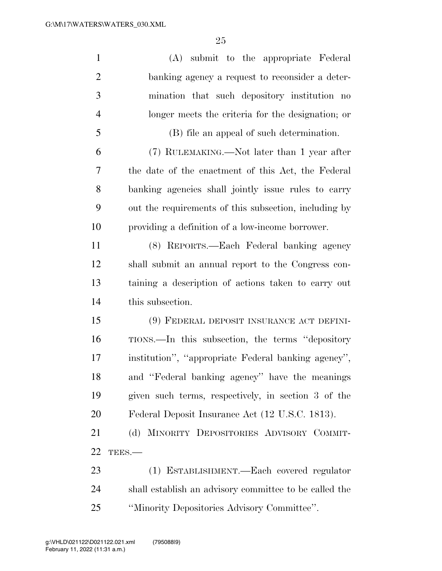| $\mathbf{1}$   | (A) submit to the appropriate Federal                  |
|----------------|--------------------------------------------------------|
| $\overline{2}$ | banking agency a request to reconsider a deter-        |
| 3              | mination that such depository institution no           |
| $\overline{4}$ | longer meets the criteria for the designation; or      |
| 5              | (B) file an appeal of such determination.              |
| 6              | (7) RULEMAKING.—Not later than 1 year after            |
| 7              | the date of the enactment of this Act, the Federal     |
| 8              | banking agencies shall jointly issue rules to carry    |
| 9              | out the requirements of this subsection, including by  |
| 10             | providing a definition of a low-income borrower.       |
| 11             | (8) REPORTS.—Each Federal banking agency               |
| 12             | shall submit an annual report to the Congress con-     |
| 13             | taining a description of actions taken to carry out    |
| 14             | this subsection.                                       |
| 15             | (9) FEDERAL DEPOSIT INSURANCE ACT DEFINI-              |
| 16             | TIONS.—In this subsection, the terms "depository"      |
| 17             | institution", "appropriate Federal banking agency",    |
| 18             | and "Federal banking agency" have the meanings         |
| 19             | given such terms, respectively, in section 3 of the    |
| 20             | Federal Deposit Insurance Act (12 U.S.C. 1813).        |
| 21             | (d) MINORITY DEPOSITORIES ADVISORY COMMIT-             |
| 22             | TEES.-                                                 |
| 23             | (1) ESTABLISHMENT.—Each covered regulator              |
| 24             | shall establish an advisory committee to be called the |
| 25             | "Minority Depositories Advisory Committee".            |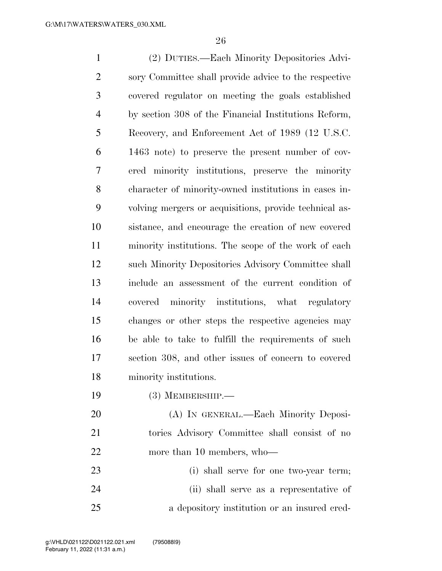(2) DUTIES.—Each Minority Depositories Advi- sory Committee shall provide advice to the respective covered regulator on meeting the goals established by section 308 of the Financial Institutions Reform, Recovery, and Enforcement Act of 1989 (12 U.S.C. 1463 note) to preserve the present number of cov- ered minority institutions, preserve the minority character of minority-owned institutions in cases in- volving mergers or acquisitions, provide technical as- sistance, and encourage the creation of new covered minority institutions. The scope of the work of each such Minority Depositories Advisory Committee shall include an assessment of the current condition of covered minority institutions, what regulatory changes or other steps the respective agencies may be able to take to fulfill the requirements of such section 308, and other issues of concern to covered minority institutions. (3) MEMBERSHIP.— (A) IN GENERAL.—Each Minority Deposi- tories Advisory Committee shall consist of no 22 more than 10 members, who

 (i) shall serve for one two-year term; (ii) shall serve as a representative of a depository institution or an insured cred-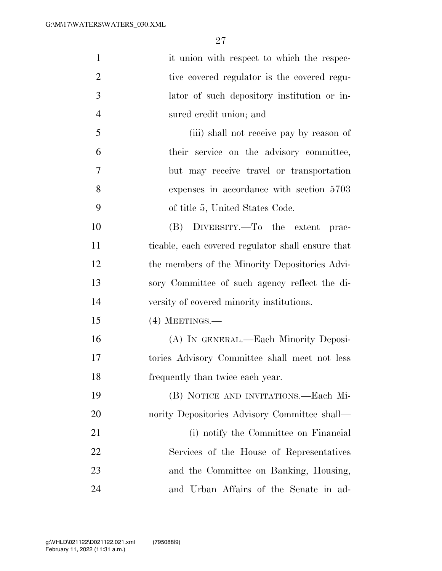| $\mathbf{1}$   | it union with respect to which the respec-        |
|----------------|---------------------------------------------------|
| $\overline{2}$ | tive covered regulator is the covered regu-       |
| 3              | lator of such depository institution or in-       |
| $\overline{4}$ | sured credit union; and                           |
| 5              | (iii) shall not receive pay by reason of          |
| 6              | their service on the advisory committee,          |
| 7              | but may receive travel or transportation          |
| 8              | expenses in accordance with section 5703          |
| 9              | of title 5, United States Code.                   |
| 10             | (B) DIVERSITY.—To the extent<br>prac-             |
| 11             | ticable, each covered regulator shall ensure that |
| 12             | the members of the Minority Depositories Advi-    |
| 13             | sory Committee of such agency reflect the di-     |
| 14             | versity of covered minority institutions.         |
| 15             | $(4)$ MEETINGS.—                                  |
| 16             | (A) IN GENERAL.—Each Minority Deposi-             |
| 17             | tories Advisory Committee shall meet not less     |
| 18             | frequently than twice each year.                  |
| 19             | (B) NOTICE AND INVITATIONS.—Each Mi-              |
| 20             | nority Depositories Advisory Committee shall—     |
| 21             | (i) notify the Committee on Financial             |
| 22             | Services of the House of Representatives          |
| 23             | and the Committee on Banking, Housing,            |
| 24             | and Urban Affairs of the Senate in ad-            |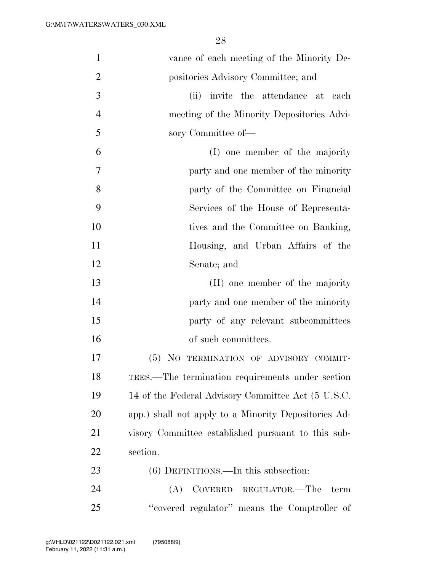| $\mathbf{1}$   | vance of each meeting of the Minority De-            |
|----------------|------------------------------------------------------|
| $\overline{2}$ | positories Advisory Committee; and                   |
| 3              | invite the attendance at each<br>(ii)                |
| $\overline{4}$ | meeting of the Minority Depositories Advi-           |
| 5              | sory Committee of-                                   |
| 6              | (I) one member of the majority                       |
| $\overline{7}$ | party and one member of the minority                 |
| 8              | party of the Committee on Financial                  |
| 9              | Services of the House of Representa-                 |
| 10             | tives and the Committee on Banking,                  |
| 11             | Housing, and Urban Affairs of the                    |
| 12             | Senate; and                                          |
| 13             | (II) one member of the majority                      |
| 14             | party and one member of the minority                 |
| 15             | party of any relevant subcommittees                  |
| 16             | of such committees.                                  |
| 17             | (5) NO TERMINATION OF ADVISORY COMMIT-               |
| 18             | TEES.—The termination requirements under section     |
| 19             | 14 of the Federal Advisory Committee Act (5 U.S.C.   |
| 20             | app.) shall not apply to a Minority Depositories Ad- |
| 21             | visory Committee established pursuant to this sub-   |
| 22             | section.                                             |
| 23             | $(6)$ DEFINITIONS.—In this subsection:               |
| 24             | COVERED REGULATOR.—The<br>(A)<br>term                |
| 25             | "covered regulator" means the Comptroller of         |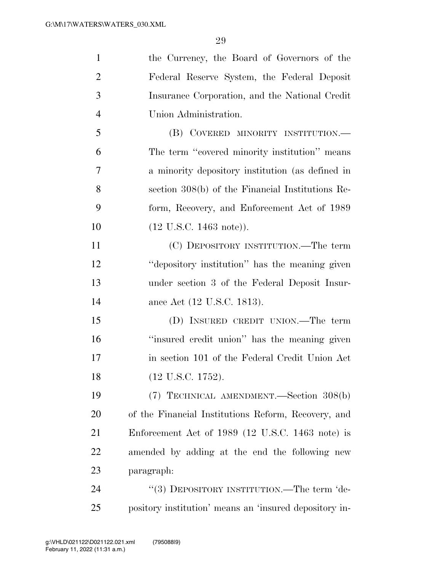| $\mathbf{1}$   | the Currency, the Board of Governors of the         |
|----------------|-----------------------------------------------------|
| $\overline{2}$ | Federal Reserve System, the Federal Deposit         |
| 3              | Insurance Corporation, and the National Credit      |
| $\overline{4}$ | Union Administration.                               |
| 5              | (B) COVERED MINORITY INSTITUTION.-                  |
| 6              | The term "covered minority institution" means       |
| 7              | a minority depository institution (as defined in    |
| 8              | section 308(b) of the Financial Institutions Re-    |
| 9              | form, Recovery, and Enforcement Act of 1989         |
| 10             | $(12 \text{ U.S.C. } 1463 \text{ note})$ ).         |
| 11             | (C) DEPOSITORY INSTITUTION.—The term                |
| 12             | "depository institution" has the meaning given      |
| 13             | under section 3 of the Federal Deposit Insur-       |
| 14             | ance Act (12 U.S.C. 1813).                          |
| 15             | (D) INSURED CREDIT UNION.—The term                  |
| 16             | "insured credit union" has the meaning given        |
| 17             | in section 101 of the Federal Credit Union Act      |
| 18             | (12 U.S.C. 1752).                                   |
| 19             | (7) TECHNICAL AMENDMENT.—Section 308(b)             |
| <b>20</b>      | of the Financial Institutions Reform, Recovery, and |
| 21             | Enforcement Act of 1989 (12 U.S.C. 1463 note) is    |
| 22             | amended by adding at the end the following new      |
| 23             | paragraph:                                          |
| 24             | "(3) DEPOSITORY INSTITUTION.—The term 'de-          |
|                |                                                     |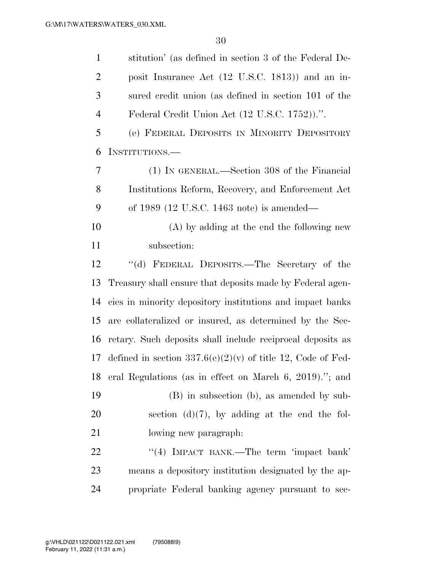| $\mathbf{1}$   | stitution' (as defined in section 3 of the Federal De-        |
|----------------|---------------------------------------------------------------|
| 2              | posit Insurance Act (12 U.S.C. 1813)) and an in-              |
| 3              | sured credit union (as defined in section 101 of the          |
| $\overline{4}$ | Federal Credit Union Act (12 U.S.C. 1752)).".                 |
| 5              | (e) FEDERAL DEPOSITS IN MINORITY DEPOSITORY                   |
| 6              | INSTITUTIONS.—                                                |
| 7              | (1) IN GENERAL.—Section 308 of the Financial                  |
| 8              | Institutions Reform, Recovery, and Enforcement Act            |
| 9              | of 1989 (12 U.S.C. 1463 note) is amended—                     |
| 10             | (A) by adding at the end the following new                    |
| 11             | subsection:                                                   |
| 12             | "(d) FEDERAL DEPOSITS.—The Secretary of the                   |
| 13             | Treasury shall ensure that deposits made by Federal agen-     |
| 14             | cies in minority depository institutions and impact banks     |
| 15             | are collateralized or insured, as determined by the Sec-      |
| 16             | retary. Such deposits shall include reciprocal deposits as    |
| 17             | defined in section $337.6(e)(2)(v)$ of title 12, Code of Fed- |
| 18             | eral Regulations (as in effect on March 6, 2019)."; and       |
| 19             | (B) in subsection (b), as amended by sub-                     |
| 20             | section $(d)(7)$ , by adding at the end the fol-              |
| 21             | lowing new paragraph.                                         |
| 22             | "(4) IMPACT BANK.—The term 'impact bank'                      |
| 23             | means a depository institution designated by the ap-          |
| 24             | propriate Federal banking agency pursuant to sec-             |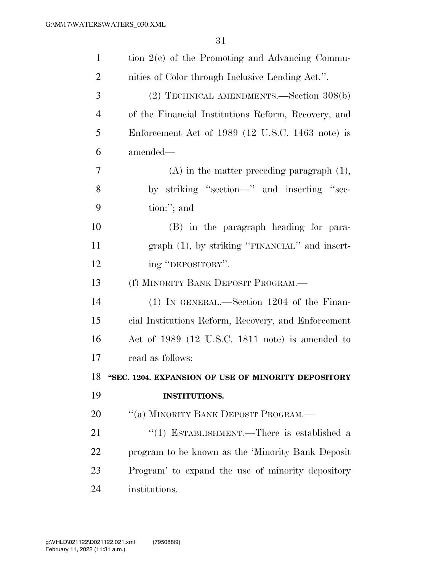| $\mathbf{1}$ | tion $2(c)$ of the Promoting and Advancing Commu-   |
|--------------|-----------------------------------------------------|
| 2            | nities of Color through Inclusive Lending Act.".    |
| 3            | (2) TECHNICAL AMENDMENTS.—Section 308(b)            |
| 4            | of the Financial Institutions Reform, Recovery, and |
| 5            | Enforcement Act of 1989 (12 U.S.C. 1463 note) is    |
| 6            | amended—                                            |
| 7            | $(A)$ in the matter preceding paragraph $(1)$ ,     |
| 8            | by striking "section—" and inserting "sec-          |
| 9            | tion:"; and                                         |
| 10           | (B) in the paragraph heading for para-              |
| 11           | graph $(1)$ , by striking "FINANCIAL" and insert-   |
| 12           | ing "DEPOSITORY".                                   |
| 13           | (f) MINORITY BANK DEPOSIT PROGRAM.-                 |
|              |                                                     |
| 14           | $(1)$ IN GENERAL.—Section 1204 of the Finan-        |
| 15           | cial Institutions Reform, Recovery, and Enforcement |
| 16           | Act of 1989 (12 U.S.C. 1811 note) is amended to     |
| 17           | read as follows:                                    |
| 18           | "SEC. 1204. EXPANSION OF USE OF MINORITY DEPOSITORY |
| 19           | <b>INSTITUTIONS.</b>                                |
| 20           | "(a) MINORITY BANK DEPOSIT PROGRAM.-                |
| 21           | "(1) ESTABLISHMENT.—There is established a          |
| 22           | program to be known as the 'Minority Bank Deposit   |
| 23           | Program' to expand the use of minority depository   |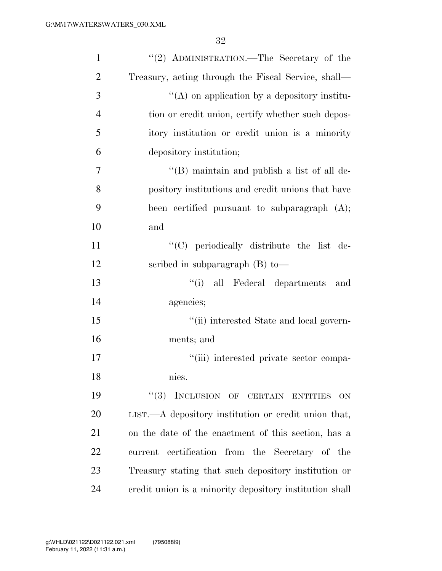| $\mathbf{1}$   | "(2) ADMINISTRATION.—The Secretary of the                |
|----------------|----------------------------------------------------------|
| $\overline{2}$ | Treasury, acting through the Fiscal Service, shall—      |
| 3              | "(A) on application by a depository institu-             |
| $\overline{4}$ | tion or credit union, certify whether such depos-        |
| 5              | itory institution or credit union is a minority          |
| 6              | depository institution;                                  |
| 7              | $\lq$ (B) maintain and publish a list of all de-         |
| 8              | pository institutions and credit unions that have        |
| 9              | been certified pursuant to subparagraph $(A)$ ;          |
| 10             | and                                                      |
| 11             | "(C) periodically distribute the list de-                |
| 12             | scribed in subparagraph $(B)$ to —                       |
| 13             | "(i) all Federal departments<br>and                      |
| 14             | agencies;                                                |
| 15             | "(ii) interested State and local govern-                 |
| 16             | ments; and                                               |
| 17             | "(iii) interested private sector compa-                  |
| 18             | nies.                                                    |
| 19             | INCLUSION OF CERTAIN ENTITIES<br>(3)<br>ON.              |
| 20             | $LIST. - A$ depository institution or credit union that, |
| 21             | on the date of the enactment of this section, has a      |
| 22             | certification from the Secretary of the<br>current       |
| 23             | Treasury stating that such depository institution or     |
| 24             | credit union is a minority depository institution shall  |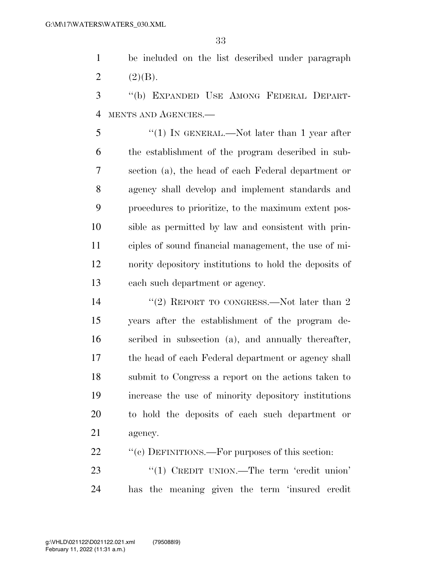be included on the list described under paragraph 2  $(2)(B)$ .

 ''(b) EXPANDED USE AMONG FEDERAL DEPART-MENTS AND AGENCIES.—

5 "(1) In GENERAL.—Not later than 1 year after the establishment of the program described in sub- section (a), the head of each Federal department or agency shall develop and implement standards and procedures to prioritize, to the maximum extent pos- sible as permitted by law and consistent with prin- ciples of sound financial management, the use of mi- nority depository institutions to hold the deposits of each such department or agency.

14 ''(2) REPORT TO CONGRESS.—Not later than 2 years after the establishment of the program de- scribed in subsection (a), and annually thereafter, the head of each Federal department or agency shall submit to Congress a report on the actions taken to increase the use of minority depository institutions to hold the deposits of each such department or agency.

22 ""(c) DEFINITIONS.—For purposes of this section:

23 "(1) CREDIT UNION.—The term 'credit union' has the meaning given the term 'insured credit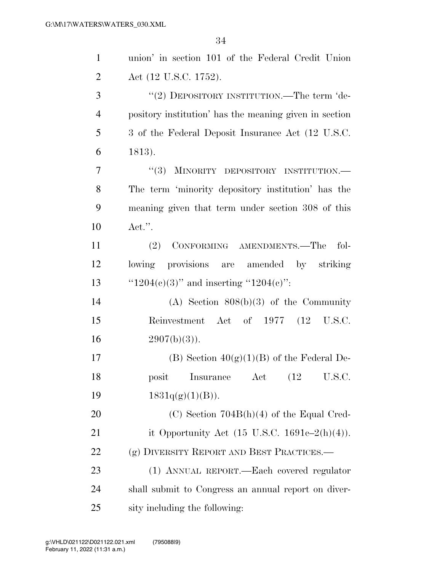| $\mathbf{1}$   | union' in section 101 of the Federal Credit Union        |
|----------------|----------------------------------------------------------|
| $\overline{2}$ | Act (12 U.S.C. 1752).                                    |
| 3              | "(2) DEPOSITORY INSTITUTION.—The term 'de-               |
| $\overline{4}$ | pository institution' has the meaning given in section   |
| 5              | 3 of the Federal Deposit Insurance Act (12 U.S.C.)       |
| 6              | 1813).                                                   |
| $\tau$         | "(3) MINORITY DEPOSITORY INSTITUTION.—                   |
| 8              | The term 'minority depository institution' has the       |
| 9              | meaning given that term under section 308 of this        |
| 10             | Act.".                                                   |
| 11             | CONFORMING AMENDMENTS.-The<br>(2)<br>fol-                |
| 12             | lowing provisions are amended by striking                |
| 13             | " $1204(e)(3)$ " and inserting " $1204(e)$ ":            |
| 14             | $(A)$ Section $808(b)(3)$ of the Community               |
| 15             | Reinvestment Act of 1977 (12 U.S.C.                      |
| 16             | $2907(b)(3)$ ).                                          |
| 17             | (B) Section $40(g)(1)(B)$ of the Federal De-             |
| 18             | Insurance Act (12 U.S.C.<br>posit                        |
| 19             | $1831q(g)(1)(B)$ .                                       |
| <b>20</b>      | $(C)$ Section 704B(h)(4) of the Equal Cred-              |
| 21             | it Opportunity Act $(15 \text{ U.S.C. } 1691c-2(h)(4)).$ |
| 22             | (g) DIVERSITY REPORT AND BEST PRACTICES.—                |
| 23             | (1) ANNUAL REPORT.—Each covered regulator                |
| 24             | shall submit to Congress an annual report on diver-      |
| 25             | sity including the following:                            |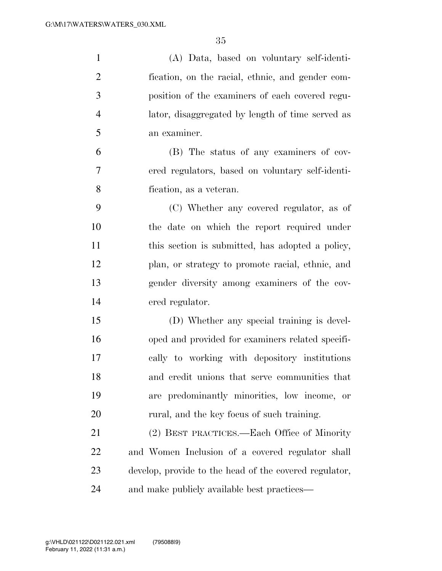| $\mathbf{1}$   | (A) Data, based on voluntary self-identi-              |
|----------------|--------------------------------------------------------|
| $\overline{2}$ | fication, on the racial, ethnic, and gender com-       |
| 3              | position of the examiners of each covered regu-        |
| $\overline{4}$ | lator, disaggregated by length of time served as       |
| 5              | an examiner.                                           |
| 6              | (B) The status of any examiners of cov-                |
| 7              | ered regulators, based on voluntary self-identi-       |
| 8              | fication, as a veteran.                                |
| 9              | (C) Whether any covered regulator, as of               |
| 10             | the date on which the report required under            |
| 11             | this section is submitted, has adopted a policy,       |
| 12             | plan, or strategy to promote racial, ethnic, and       |
| 13             | gender diversity among examiners of the cov-           |
| 14             | ered regulator.                                        |
| 15             | (D) Whether any special training is devel-             |
| 16             | oped and provided for examiners related specifi-       |
| 17             | cally to working with depository institutions          |
| 18             | and credit unions that serve communities that          |
| 19             | are predominantly minorities, low income, or           |
| 20             | rural, and the key focus of such training.             |
| 21             | (2) BEST PRACTICES.—Each Office of Minority            |
| 22             | and Women Inclusion of a covered regulator shall       |
| 23             | develop, provide to the head of the covered regulator, |
| 24             | and make publicly available best practices—            |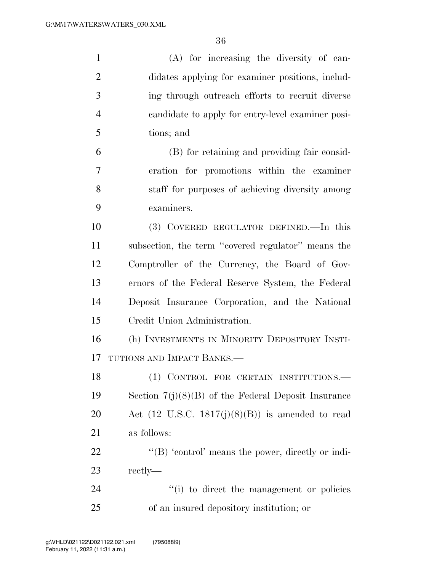| $\mathbf{1}$   | (A) for increasing the diversity of can-                    |
|----------------|-------------------------------------------------------------|
| $\overline{2}$ | didates applying for examiner positions, includ-            |
| 3              | ing through outreach efforts to recruit diverse             |
| $\overline{4}$ | candidate to apply for entry-level examiner posi-           |
| 5              | tions; and                                                  |
| 6              | (B) for retaining and providing fair consid-                |
| 7              | eration for promotions within the examiner                  |
| 8              | staff for purposes of achieving diversity among             |
| 9              | examiners.                                                  |
| 10             | (3) COVERED REGULATOR DEFINED.—In this                      |
| 11             | subsection, the term "covered regulator" means the          |
| 12             | Comptroller of the Currency, the Board of Gov-              |
| 13             | ernors of the Federal Reserve System, the Federal           |
| 14             | Deposit Insurance Corporation, and the National             |
| 15             | Credit Union Administration.                                |
| 16             | (h) INVESTMENTS IN MINORITY DEPOSITORY INSTI-               |
| 17             | TUTIONS AND IMPACT BANKS.                                   |
| 18             | (1) CONTROL FOR CERTAIN INSTITUTIONS.                       |
| 19             | Section $7(j)(8)(B)$ of the Federal Deposit Insurance       |
| 20             | Act $(12 \text{ U.S.C. } 1817(j)(8)(B))$ is amended to read |
| 21             | as follows:                                                 |
| 22             | " $(B)$ 'control' means the power, directly or indi-        |
| 23             | rectly—                                                     |
| 24             | "(i) to direct the management or policies                   |
| 25             | of an insured depository institution; or                    |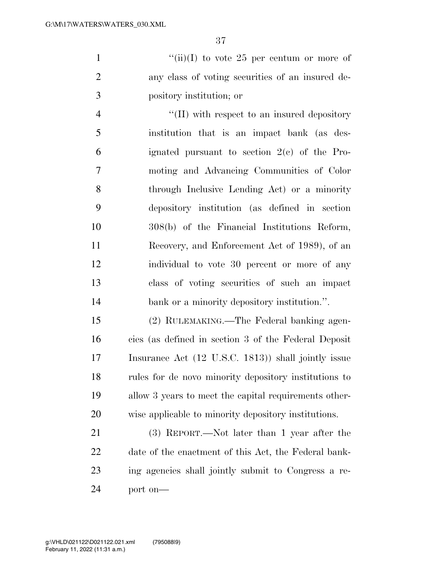1  $"(*ii*)(I)$  to vote 25 per centum or more of any class of voting securities of an insured de-pository institution; or

 $\lq(II)$  with respect to an insured depository institution that is an impact bank (as des- ignated pursuant to section 2(c) of the Pro- moting and Advancing Communities of Color through Inclusive Lending Act) or a minority depository institution (as defined in section 308(b) of the Financial Institutions Reform, Recovery, and Enforcement Act of 1989), of an individual to vote 30 percent or more of any class of voting securities of such an impact 14 bank or a minority depository institution.".

 (2) RULEMAKING.—The Federal banking agen- cies (as defined in section 3 of the Federal Deposit Insurance Act (12 U.S.C. 1813)) shall jointly issue rules for de novo minority depository institutions to allow 3 years to meet the capital requirements other-wise applicable to minority depository institutions.

 (3) REPORT.—Not later than 1 year after the date of the enactment of this Act, the Federal bank- ing agencies shall jointly submit to Congress a re-port on—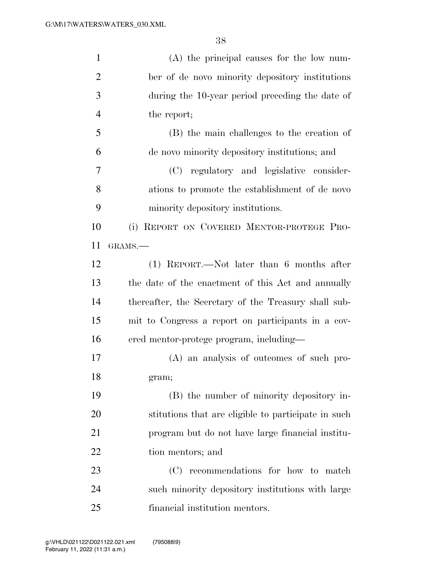| $\mathbf{1}$   | $(A)$ the principal causes for the low num-          |
|----------------|------------------------------------------------------|
| $\overline{2}$ | ber of de novo minority depository institutions      |
| 3              | during the 10-year period preceding the date of      |
| $\overline{4}$ | the report;                                          |
| 5              | (B) the main challenges to the creation of           |
| 6              | de novo minority depository institutions; and        |
| 7              | (C) regulatory and legislative consider-             |
| 8              | ations to promote the establishment of de novo       |
| 9              | minority depository institutions.                    |
| 10             | (i) REPORT ON COVERED MENTOR-PROTEGE PRO-            |
| 11             | GRAMS.-                                              |
| 12             | (1) REPORT.—Not later than 6 months after            |
| 13             | the date of the enactment of this Act and annually   |
| 14             | thereafter, the Secretary of the Treasury shall sub- |
| 15             | mit to Congress a report on participants in a cov-   |
| 16             | ered mentor-protege program, including-              |
| 17             | (A) an analysis of outcomes of such pro-             |
| 18             | gram;                                                |
| 19             | (B) the number of minority depository in-            |
| 20             | stitutions that are eligible to participate in such  |
| 21             | program but do not have large financial institu-     |
| 22             | tion mentors; and                                    |
| 23             | recommendations for how to match<br>(C)              |
| 24             | such minority depository institutions with large     |
| 25             | financial institution mentors.                       |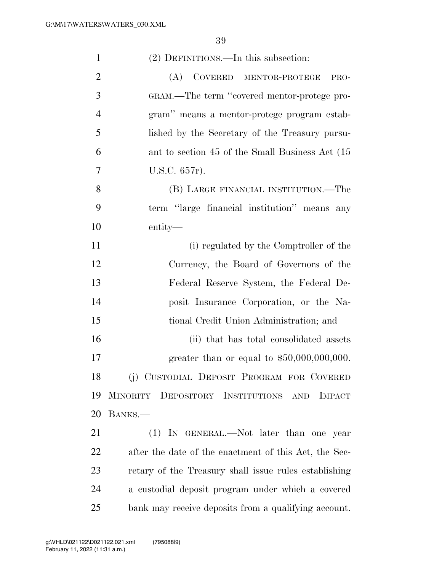| $\mathbf{1}$   | (2) DEFINITIONS.—In this subsection:                  |
|----------------|-------------------------------------------------------|
| $\overline{2}$ | (A)<br>COVERED MENTOR-PROTEGE<br>PRO-                 |
| 3              | GRAM.—The term "covered mentor-protege pro-           |
| $\overline{4}$ | gram" means a mentor-protege program estab-           |
| 5              | lished by the Secretary of the Treasury pursu-        |
| 6              | ant to section 45 of the Small Business Act (15       |
| 7              | U.S.C. 657r).                                         |
| 8              | (B) LARGE FINANCIAL INSTITUTION.—The                  |
| 9              | term "large financial institution" means any          |
| 10             | entity—                                               |
| 11             | (i) regulated by the Comptroller of the               |
| 12             | Currency, the Board of Governors of the               |
| 13             | Federal Reserve System, the Federal De-               |
| 14             | posit Insurance Corporation, or the Na-               |
| 15             | tional Credit Union Administration; and               |
| 16             | (ii) that has total consolidated assets               |
| 17             | greater than or equal to $$50,000,000,000$ .          |
| 18             | (j) CUSTODIAL DEPOSIT PROGRAM FOR COVERED             |
| 19             | MINORITY DEPOSITORY INSTITUTIONS AND IMPACT           |
| 20             | BANKS.—                                               |
| 21             | (1) IN GENERAL.—Not later than one year               |
| 22             | after the date of the enactment of this Act, the Sec- |
| 23             | retary of the Treasury shall issue rules establishing |
| 24             | a custodial deposit program under which a covered     |
| 25             | bank may receive deposits from a qualifying account.  |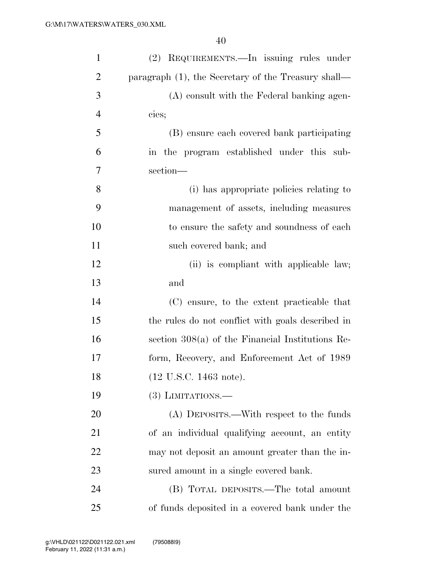| $\mathbf{1}$   | (2) REQUIREMENTS.—In issuing rules under               |
|----------------|--------------------------------------------------------|
| $\overline{2}$ | paragraph $(1)$ , the Secretary of the Treasury shall— |
| 3              | (A) consult with the Federal banking agen-             |
| $\overline{4}$ | cies;                                                  |
| 5              | (B) ensure each covered bank participating             |
| 6              | in the program established under this sub-             |
| 7              | section-                                               |
| 8              | (i) has appropriate policies relating to               |
| 9              | management of assets, including measures               |
| 10             | to ensure the safety and soundness of each             |
| 11             | such covered bank; and                                 |
| 12             | (ii) is compliant with applicable law;                 |
| 13             | and                                                    |
| 14             | (C) ensure, to the extent practicable that             |
| 15             | the rules do not conflict with goals described in      |
| 16             | section $308(a)$ of the Financial Institutions Re-     |
| 17             | form, Recovery, and Enforcement Act of 1989            |
| 18             | (12 U.S.C. 1463 note).                                 |
| 19             | $(3)$ LIMITATIONS.—                                    |
| 20             | (A) DEPOSITS.—With respect to the funds                |
| 21             | of an individual qualifying account, an entity         |
| 22             | may not deposit an amount greater than the in-         |
| 23             | sured amount in a single covered bank.                 |
| 24             | (B) TOTAL DEPOSITS.—The total amount                   |
| 25             | of funds deposited in a covered bank under the         |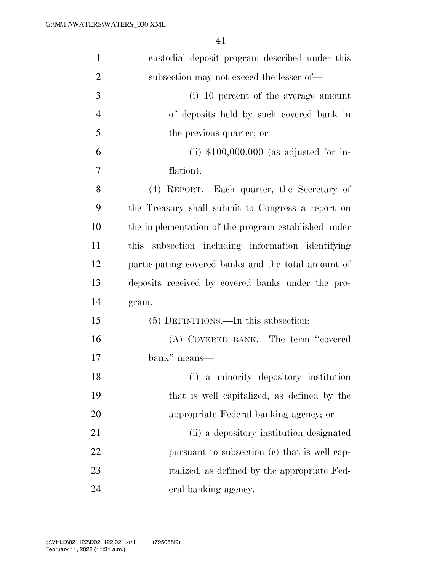| $\mathbf{1}$   | custodial deposit program described under this       |
|----------------|------------------------------------------------------|
| $\overline{2}$ | subsection may not exceed the lesser of—             |
| 3              | (i) 10 percent of the average amount                 |
| $\overline{4}$ | of deposits held by such covered bank in             |
| 5              | the previous quarter; or                             |
| 6              | (ii) $$100,000,000$ (as adjusted for in-             |
| 7              | flation).                                            |
| 8              | (4) REPORT.—Each quarter, the Secretary of           |
| 9              | the Treasury shall submit to Congress a report on    |
| 10             | the implementation of the program established under  |
| 11             | subsection including information identifying<br>this |
| 12             | participating covered banks and the total amount of  |
| 13             | deposits received by covered banks under the pro-    |
| 14             | gram.                                                |
| 15             | (5) DEFINITIONS.—In this subsection:                 |
| 16             | (A) COVERED BANK.—The term "covered                  |
| 17             | bank" means—                                         |
| 18             | (i) a minority depository institution                |
| 19             | that is well capitalized, as defined by the          |
| 20             | appropriate Federal banking agency; or               |
| 21             | (ii) a depository institution designated             |
| 22             | pursuant to subsection (c) that is well cap-         |
| 23             | italized, as defined by the appropriate Fed-         |
| 24             | eral banking agency.                                 |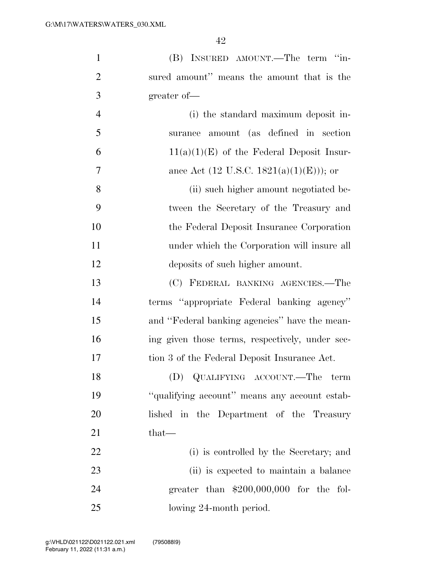| $\mathbf{1}$   | (B) INSURED AMOUNT.—The term "in-               |
|----------------|-------------------------------------------------|
| $\overline{2}$ | sured amount" means the amount that is the      |
| 3              | greater of-                                     |
| $\overline{4}$ | (i) the standard maximum deposit in-            |
| 5              | surance amount (as defined in section           |
| 6              | $11(a)(1)(E)$ of the Federal Deposit Insur-     |
| 7              | ance Act (12 U.S.C. 1821(a)(1)(E))); or         |
| 8              | (ii) such higher amount negotiated be-          |
| 9              | tween the Secretary of the Treasury and         |
| 10             | the Federal Deposit Insurance Corporation       |
| 11             | under which the Corporation will insure all     |
| 12             | deposits of such higher amount.                 |
| 13             | (C) FEDERAL BANKING AGENCIES.-The               |
| 14             | terms "appropriate Federal banking agency"      |
| 15             | and "Federal banking agencies" have the mean-   |
| 16             | ing given those terms, respectively, under sec- |
| 17             | tion 3 of the Federal Deposit Insurance Act.    |
| 18             | (D) QUALIFYING ACCOUNT.—The term                |
| 19             | "qualifying account" means any account estab-   |
| 20             | lished in the Department of the Treasury        |
| 21             | that-                                           |
| 22             | (i) is controlled by the Secretary; and         |
| 23             | (ii) is expected to maintain a balance          |
| 24             | greater than $$200,000,000$ for the fol-        |
| 25             | lowing 24-month period.                         |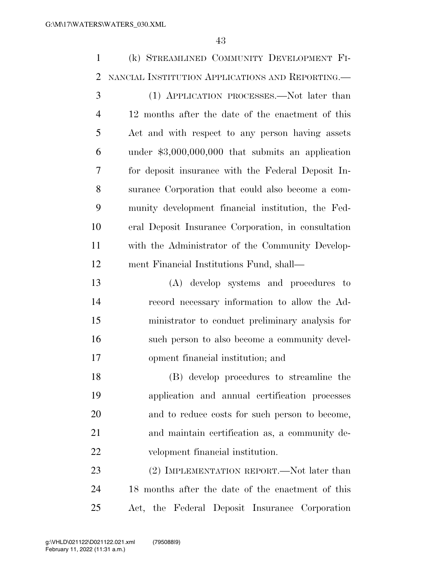(k) STREAMLINED COMMUNITY DEVELOPMENT FI- NANCIAL INSTITUTION APPLICATIONS AND REPORTING.— (1) APPLICATION PROCESSES.—Not later than 12 months after the date of the enactment of this Act and with respect to any person having assets under \$3,000,000,000 that submits an application for deposit insurance with the Federal Deposit In- surance Corporation that could also become a com- munity development financial institution, the Fed- eral Deposit Insurance Corporation, in consultation with the Administrator of the Community Develop- ment Financial Institutions Fund, shall— (A) develop systems and procedures to record necessary information to allow the Ad- ministrator to conduct preliminary analysis for such person to also become a community devel- opment financial institution; and (B) develop procedures to streamline the application and annual certification processes and to reduce costs for such person to become, and maintain certification as, a community de- velopment financial institution. 23 (2) IMPLEMENTATION REPORT.—Not later than

 18 months after the date of the enactment of this Act, the Federal Deposit Insurance Corporation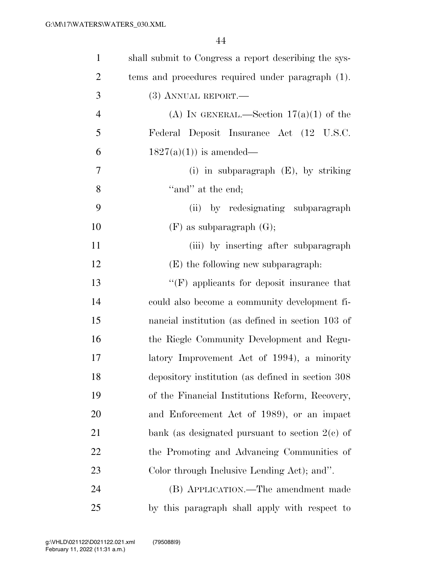| $\mathbf{1}$   | shall submit to Congress a report describing the sys- |
|----------------|-------------------------------------------------------|
| $\overline{2}$ | tems and procedures required under paragraph (1).     |
| 3              | $(3)$ ANNUAL REPORT.—                                 |
| $\overline{4}$ | (A) IN GENERAL.—Section $17(a)(1)$ of the             |
| 5              | Federal Deposit Insurance Act (12 U.S.C.              |
| 6              | $1827(a)(1)$ is amended—                              |
| 7              | (i) in subparagraph $(E)$ , by striking               |
| 8              | "and" at the end;                                     |
| 9              | (ii) by redesignating subparagraph                    |
| 10             | $(F)$ as subparagraph $(G)$ ;                         |
| 11             | (iii) by inserting after subparagraph                 |
| 12             | (E) the following new subparagraph:                   |
| 13             | $\lq\lq(F)$ applicants for deposit insurance that     |
| 14             | could also become a community development fi-         |
| 15             | nancial institution (as defined in section 103 of     |
| 16             | the Riegle Community Development and Regu-            |
| $17\,$         | latory Improvement Act of 1994), a minority           |
| 18             | depository institution (as defined in section 308)    |
| 19             | of the Financial Institutions Reform, Recovery,       |
| 20             | and Enforcement Act of 1989), or an impact            |
| 21             | bank (as designated pursuant to section $2(e)$ of     |
| 22             | the Promoting and Advancing Communities of            |
| 23             | Color through Inclusive Lending Act); and".           |
| 24             | (B) APPLICATION.—The amendment made                   |
| 25             | by this paragraph shall apply with respect to         |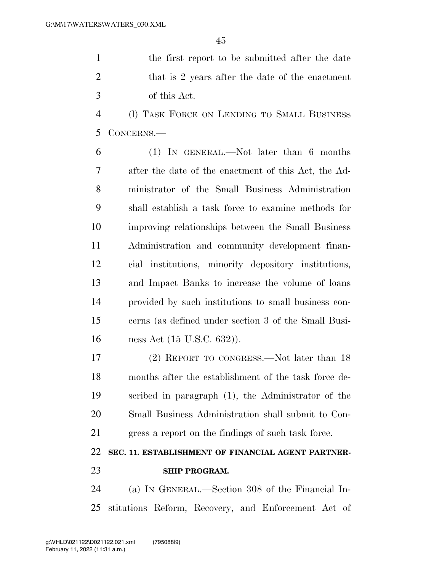the first report to be submitted after the date 2 that is 2 years after the date of the enactment of this Act.

 (l) TASK FORCE ON LENDING TO SMALL BUSINESS CONCERNS.—

 (1) IN GENERAL.—Not later than 6 months after the date of the enactment of this Act, the Ad- ministrator of the Small Business Administration shall establish a task force to examine methods for improving relationships between the Small Business Administration and community development finan- cial institutions, minority depository institutions, and Impact Banks to increase the volume of loans provided by such institutions to small business con- cerns (as defined under section 3 of the Small Busi-ness Act (15 U.S.C. 632)).

 (2) REPORT TO CONGRESS.—Not later than 18 months after the establishment of the task force de- scribed in paragraph (1), the Administrator of the Small Business Administration shall submit to Con-gress a report on the findings of such task force.

## **SEC. 11. ESTABLISHMENT OF FINANCIAL AGENT PARTNER-SHIP PROGRAM.**

 (a) IN GENERAL.—Section 308 of the Financial In-stitutions Reform, Recovery, and Enforcement Act of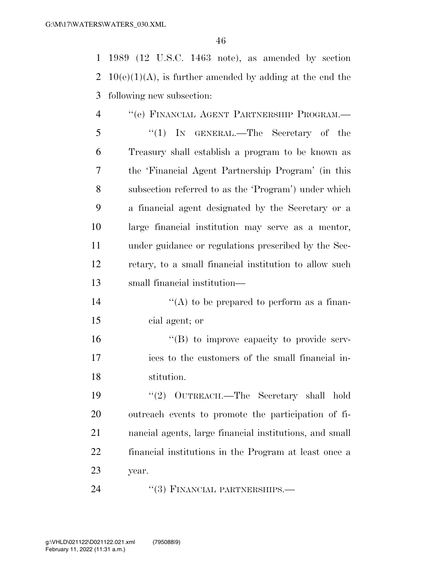1989 (12 U.S.C. 1463 note), as amended by section 2 10(e)(1)(A), is further amended by adding at the end the following new subsection:

 ''(e) FINANCIAL AGENT PARTNERSHIP PROGRAM.— ''(1) IN GENERAL.—The Secretary of the Treasury shall establish a program to be known as the 'Financial Agent Partnership Program' (in this subsection referred to as the 'Program') under which a financial agent designated by the Secretary or a large financial institution may serve as a mentor, under guidance or regulations prescribed by the Sec- retary, to a small financial institution to allow such small financial institution—

14  $((A)$  to be prepared to perform as a finan-cial agent; or

 ''(B) to improve capacity to provide serv- ices to the customers of the small financial in-stitution.

 ''(2) OUTREACH.—The Secretary shall hold outreach events to promote the participation of fi- nancial agents, large financial institutions, and small financial institutions in the Program at least once a year.

24 "(3) FINANCIAL PARTNERSHIPS.—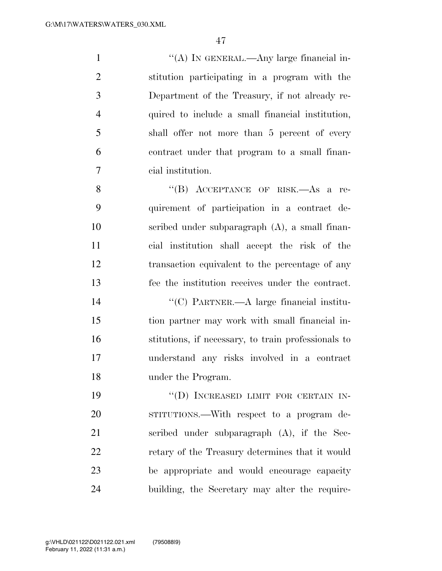$\langle (A) \rangle$  In GENERAL.—Any large financial in- stitution participating in a program with the Department of the Treasury, if not already re- quired to include a small financial institution, shall offer not more than 5 percent of every contract under that program to a small finan-cial institution.

8 "(B) ACCEPTANCE OF RISK.—As a re- quirement of participation in a contract de- scribed under subparagraph (A), a small finan- cial institution shall accept the risk of the transaction equivalent to the percentage of any fee the institution receives under the contract.

 ''(C) PARTNER.—A large financial institu- tion partner may work with small financial in- stitutions, if necessary, to train professionals to understand any risks involved in a contract under the Program.

19 "(D) INCREASED LIMIT FOR CERTAIN IN- STITUTIONS.—With respect to a program de- scribed under subparagraph (A), if the Sec-22 retary of the Treasury determines that it would be appropriate and would encourage capacity building, the Secretary may alter the require-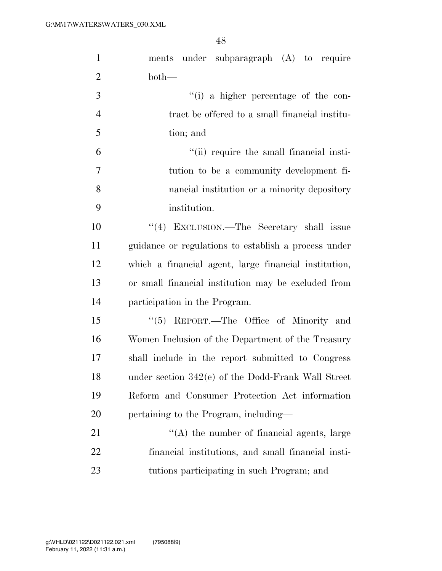| $\mathbf{1}$   | ments under subparagraph (A) to require               |
|----------------|-------------------------------------------------------|
| $\overline{2}$ | $both-$                                               |
| 3              | "(i) a higher percentage of the con-                  |
| $\overline{4}$ | tract be offered to a small financial institu-        |
| 5              | tion; and                                             |
| 6              | "(ii) require the small financial insti-              |
| $\tau$         | tution to be a community development fi-              |
| 8              | nancial institution or a minority depository          |
| 9              | institution.                                          |
| 10             | "(4) EXCLUSION.—The Secretary shall issue             |
| 11             | guidance or regulations to establish a process under  |
| 12             | which a financial agent, large financial institution, |
| 13             | or small financial institution may be excluded from   |
| 14             | participation in the Program.                         |
| 15             | "(5) REPORT.—The Office of Minority and               |
| 16             | Women Inclusion of the Department of the Treasury     |
| 17             | shall include in the report submitted to Congress     |
| 18             | under section 342(e) of the Dodd-Frank Wall Street    |
| 19             | Reform and Consumer Protection Act information        |
| 20             | pertaining to the Program, including—                 |
| 21             | $\lq\lq$ the number of financial agents, large        |
| 22             | financial institutions, and small financial insti-    |
| 23             | tutions participating in such Program; and            |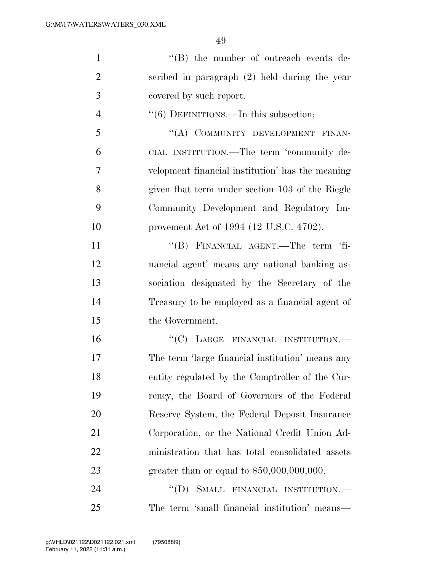| "(B) the number of outreach events de-            |
|---------------------------------------------------|
| scribed in paragraph $(2)$ held during the year   |
| covered by such report.                           |
| $\cdot\cdot$ (6) DEFINITIONS.—In this subsection: |
| "(A) COMMUNITY DEVELOPMENT FINAN-                 |
| CIAL INSTITUTION.—The term 'community de-         |
| velopment financial institution' has the meaning  |
| given that term under section 103 of the Riegle   |
| Community Development and Regulatory Im-          |
| provement Act of 1994 (12 U.S.C. 4702).           |
| "(B) FINANCIAL AGENT.—The term 'fi-               |
| nancial agent' means any national banking as-     |
| sociation designated by the Secretary of the      |
| Treasury to be employed as a financial agent of   |
| the Government.                                   |
| "(C) LARGE FINANCIAL INSTITUTION.—                |
| The term 'large financial institution' means any  |
| entity regulated by the Comptroller of the Cur-   |
| rency, the Board of Governors of the Federal      |
| Reserve System, the Federal Deposit Insurance     |
| Corporation, or the National Credit Union Ad-     |
| ministration that has total consolidated assets   |
| greater than or equal to $$50,000,000,000$ .      |
| SMALL FINANCIAL INSTITUTION.-<br>$\lq\lq (D)$     |
|                                                   |